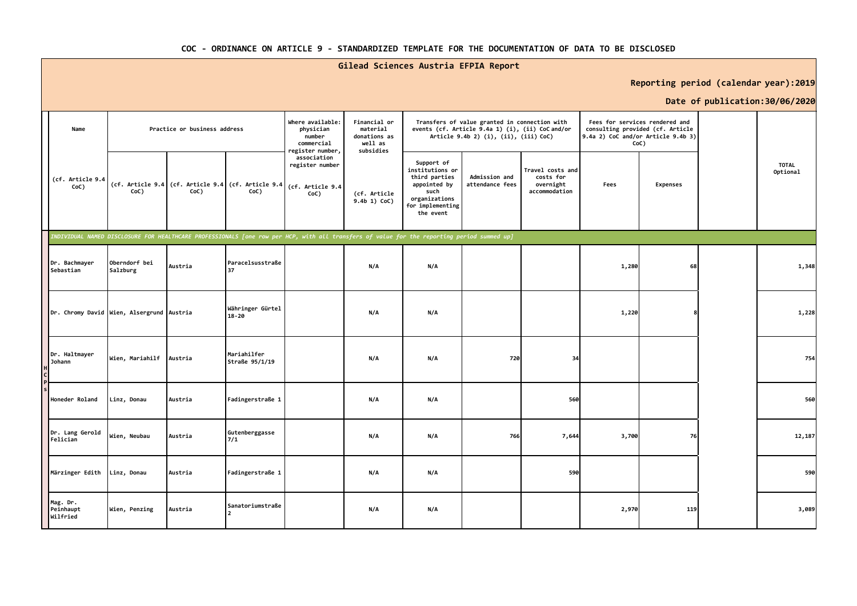## **COC - ORDINANCE ON ARTICLE 9 - STANDARDIZED TEMPLATE FOR THE DOCUMENTATION OF DATA TO BE DISCLOSED**

## **Gilead Sciences Austria EFPIA Report**

**Reporting period (calendar year):2019**

## **Date of publication:30/06/2020**

|                                           |                           |                              |                                                                                                                                            |                                                                           |                                                                  |                                                                                                                          |                                                                                                                                            |                                                             |       |                                                                                                                  | Date or publication:30/06/2020 |                          |
|-------------------------------------------|---------------------------|------------------------------|--------------------------------------------------------------------------------------------------------------------------------------------|---------------------------------------------------------------------------|------------------------------------------------------------------|--------------------------------------------------------------------------------------------------------------------------|--------------------------------------------------------------------------------------------------------------------------------------------|-------------------------------------------------------------|-------|------------------------------------------------------------------------------------------------------------------|--------------------------------|--------------------------|
| Name                                      |                           | Practice or business address |                                                                                                                                            | Where available:<br>physician<br>number<br>commercial<br>register number, | Financial or<br>material<br>donations as<br>well as<br>subsidies |                                                                                                                          | Transfers of value granted in connection with<br>events (cf. Article 9.4a 1) (i), (ii) CoC and/or<br>Article 9.4b 2) (i), (ii), (iii) CoC) |                                                             |       | Fees for services rendered and<br>consulting provided (cf. Article<br>9.4a 2) CoC and/or Article 9.4b 3)<br>CoC) |                                |                          |
| (cf. Article 9.4<br>CoC)                  | CoC)                      | CoC)                         | (cf. Article 9.4 (cf. Article 9.4 (cf. Article 9.4 (cf. Article 9.4<br>CoC)                                                                | association<br>register number<br>CoC)                                    | (cf. Article<br>9.4b 1) CoC)                                     | Support of<br>institutions or<br>third parties<br>appointed by<br>such<br>organizations<br>for implementing<br>the event | Admission and<br>attendance fees                                                                                                           | Travel costs and<br>costs for<br>overnight<br>accommodation | Fees  | <b>Expenses</b>                                                                                                  |                                | <b>TOTAL</b><br>Optional |
|                                           |                           |                              | INDIVIDUAL NAMED DISCLOSURE FOR HEALTHCARE PROFESSIONALS [one row per HCP, with all transfers of value for the reporting period summed up] |                                                                           |                                                                  |                                                                                                                          |                                                                                                                                            |                                                             |       |                                                                                                                  |                                |                          |
| Dr. Bachmayer<br>Sebastian                | Oberndorf bei<br>Salzburg | Austria                      | Paracelsusstraße<br>37                                                                                                                     |                                                                           | N/A                                                              | N/A                                                                                                                      |                                                                                                                                            |                                                             | 1,280 | 68                                                                                                               |                                | 1,348                    |
| Dr. Chromy David Wien, Alsergrund Austria |                           |                              | Währinger Gürtel<br>$18 - 20$                                                                                                              |                                                                           | N/A                                                              | N/A                                                                                                                      |                                                                                                                                            |                                                             | 1,220 |                                                                                                                  |                                | 1,228                    |
| Dr. Haltmayer<br><b>Johann</b>            | Wien, Mariahilf Austria   |                              | Mariahilfer<br>Straße 95/1/19                                                                                                              |                                                                           | N/A                                                              | N/A                                                                                                                      | 720                                                                                                                                        | 34                                                          |       |                                                                                                                  |                                | 754                      |
| Honeder Roland                            | Linz, Donau               | Austria                      | Fadingerstraße 1                                                                                                                           |                                                                           | N/A                                                              | N/A                                                                                                                      |                                                                                                                                            | 560                                                         |       |                                                                                                                  |                                | 560                      |
| Dr. Lang Gerold<br>Felician               | Wien, Neubau              | Austria                      | Gutenberggasse<br>7/1                                                                                                                      |                                                                           | N/A                                                              | N/A                                                                                                                      | 766                                                                                                                                        | 7,644                                                       | 3,700 | 76                                                                                                               |                                | 12,187                   |
| Märzinger Edith                           | Linz, Donau               | Austria                      | Fadingerstraße 1                                                                                                                           |                                                                           | N/A                                                              | N/A                                                                                                                      |                                                                                                                                            | 590                                                         |       |                                                                                                                  |                                | 590                      |
| Mag. Dr.<br>Peinhaupt<br>Wilfried         | Wien, Penzing             | Austria                      | Sanatoriumstraße                                                                                                                           |                                                                           | N/A                                                              | N/A                                                                                                                      |                                                                                                                                            |                                                             | 2,970 | 119                                                                                                              |                                | 3,089                    |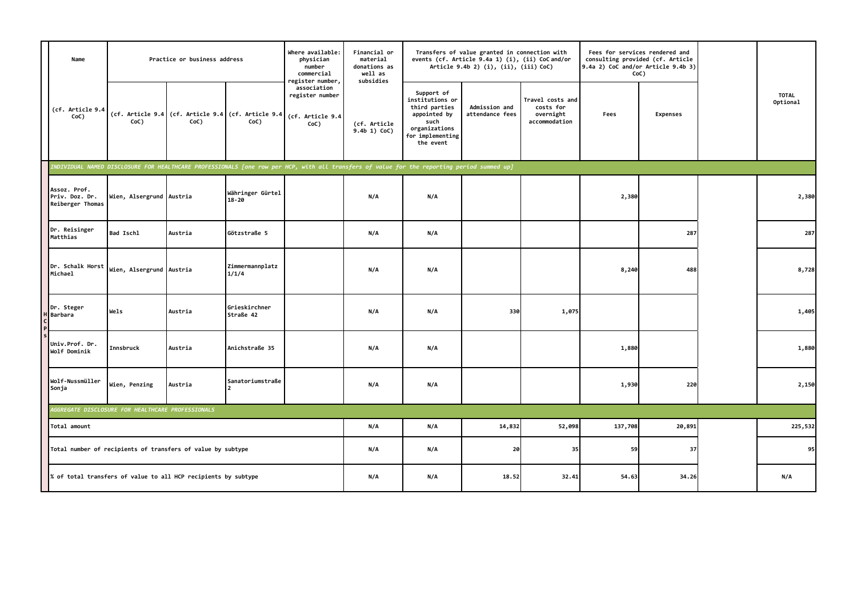| Name                                                           |                                                             | Practice or business address |                                                            | Where available:<br>physician<br>number<br>commercial<br>register number,                                                                  | Financial or<br>material<br>donations as<br>well as<br>subsidies |                                                                                                                          | Transfers of value granted in connection with<br>events (cf. Article 9.4a 1) (i), (ii) CoC and/or<br>Article 9.4b 2) (i), (ii), (iii) CoC) |                                                             |         | Fees for services rendered and<br>consulting provided (cf. Article<br>9.4a 2) CoC and/or Article 9.4b 3)<br>CoC) |                          |
|----------------------------------------------------------------|-------------------------------------------------------------|------------------------------|------------------------------------------------------------|--------------------------------------------------------------------------------------------------------------------------------------------|------------------------------------------------------------------|--------------------------------------------------------------------------------------------------------------------------|--------------------------------------------------------------------------------------------------------------------------------------------|-------------------------------------------------------------|---------|------------------------------------------------------------------------------------------------------------------|--------------------------|
| (cf. Article 9.4<br>CoC)                                       | CoC)                                                        | CoC)                         | (cf. Article 9.4 (cf. Article 9.4 (cf. Article 9.4<br>CoC) | association<br>register number<br>(cf. Article 9.4<br>CoC)                                                                                 | (cf. Article<br>9.4b 1) CoC)                                     | Support of<br>institutions or<br>third parties<br>appointed by<br>such<br>organizations<br>for implementing<br>the event | Admission and<br>attendance fees                                                                                                           | Travel costs and<br>costs for<br>overnight<br>accommodation | Fees    | <b>Expenses</b>                                                                                                  | <b>TOTAL</b><br>Optional |
|                                                                |                                                             |                              |                                                            | INDIVIDUAL NAMED DISCLOSURE FOR HEALTHCARE PROFESSIONALS [one row per HCP, with all transfers of value for the reporting period summed up] |                                                                  |                                                                                                                          |                                                                                                                                            |                                                             |         |                                                                                                                  |                          |
| Assoz. Prof.<br>Priv. Doz. Dr.<br>Reiberger Thomas             | Wien, Alsergrund Austria                                    |                              | Währinger Gürtel<br>$18 - 20$                              |                                                                                                                                            | N/A                                                              | N/A                                                                                                                      |                                                                                                                                            |                                                             | 2,380   |                                                                                                                  | 2,380                    |
| Dr. Reisinger<br>Matthias                                      | Bad Ischl                                                   | Austria                      | Götzstraße 5                                               |                                                                                                                                            | N/A                                                              | N/A                                                                                                                      |                                                                                                                                            |                                                             |         | 287                                                                                                              | 287                      |
| Dr. Schalk Horst<br>Michael                                    | Wien, Alsergrund Austria                                    |                              | Zimmermannplatz<br>1/1/4                                   |                                                                                                                                            | N/A                                                              | N/A                                                                                                                      |                                                                                                                                            |                                                             | 8,240   | 488                                                                                                              | 8,728                    |
| Dr. Steger<br>Barbara                                          | Wels                                                        | Austria                      | Grieskirchner<br>Straße 42                                 |                                                                                                                                            | N/A                                                              | N/A                                                                                                                      | 330                                                                                                                                        | 1,075                                                       |         |                                                                                                                  | 1,405                    |
| Univ.Prof. Dr.<br>Wolf Dominik                                 | Innsbruck                                                   | Austria                      | Anichstraße 35                                             |                                                                                                                                            | N/A                                                              | N/A                                                                                                                      |                                                                                                                                            |                                                             | 1,880   |                                                                                                                  | 1,880                    |
| Wolf-Nussmüller<br>Sonja                                       | Wien, Penzing                                               | Austria                      | Sanatoriumstraße<br>$\mathcal{P}$                          |                                                                                                                                            | N/A                                                              | N/A                                                                                                                      |                                                                                                                                            |                                                             | 1,930   | 220                                                                                                              | 2,150                    |
|                                                                | <b>GGREGATE DISCLOSURE FOR HEALTHCARE PROFESSIONALS</b>     |                              |                                                            |                                                                                                                                            |                                                                  |                                                                                                                          |                                                                                                                                            |                                                             |         |                                                                                                                  |                          |
| Total amount                                                   |                                                             |                              |                                                            |                                                                                                                                            | N/A                                                              | N/A                                                                                                                      | 14,832                                                                                                                                     | 52,098                                                      | 137,708 | 20,891                                                                                                           | 225,532                  |
|                                                                | Total number of recipients of transfers of value by subtype |                              |                                                            |                                                                                                                                            | N/A                                                              | N/A                                                                                                                      | 20                                                                                                                                         | 35                                                          | 59      | 37                                                                                                               | 95                       |
| % of total transfers of value to all HCP recipients by subtype |                                                             |                              |                                                            |                                                                                                                                            | N/A                                                              | N/A                                                                                                                      | 18.52                                                                                                                                      | 32.41                                                       | 54.63   | 34.26                                                                                                            | N/A                      |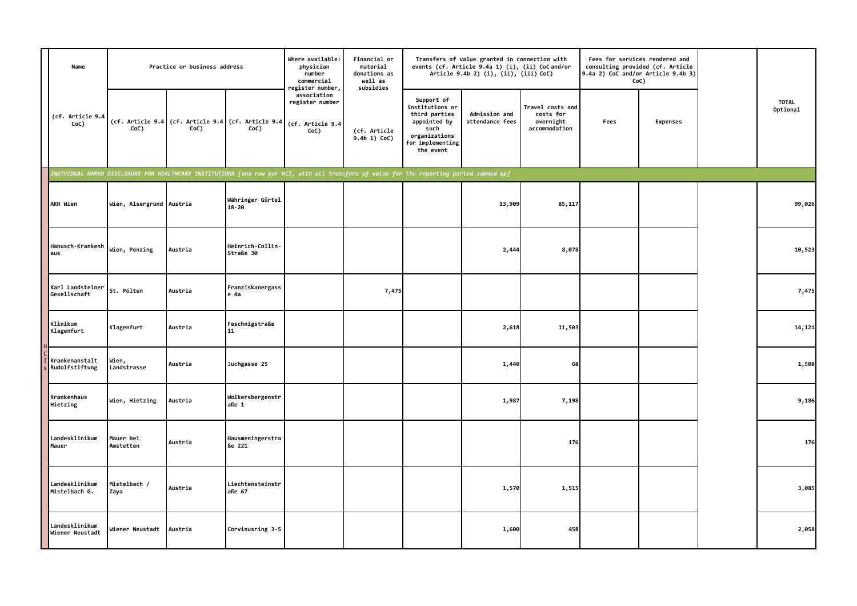| Name                              |                                                                                                                                           | Practice or business address |                                                            | Where available:<br>physician<br>number<br>commercial<br>register number, | Financial or<br>material<br>donations as<br>well as<br>subsidies |                                                                                                                          | Transfers of value granted in connection with<br>events (cf. Article 9.4a 1) (i), (ii) CoC and/or<br>Article 9.4b 2) (i), (ii), (iii) CoC) |                                                             |      | Fees for services rendered and<br>consulting provided (cf. Article<br>9.4a 2) CoC and/or Article 9.4b 3)<br>CoC) |                          |
|-----------------------------------|-------------------------------------------------------------------------------------------------------------------------------------------|------------------------------|------------------------------------------------------------|---------------------------------------------------------------------------|------------------------------------------------------------------|--------------------------------------------------------------------------------------------------------------------------|--------------------------------------------------------------------------------------------------------------------------------------------|-------------------------------------------------------------|------|------------------------------------------------------------------------------------------------------------------|--------------------------|
| (cf. Article 9.4<br>CoC)          | CoC)                                                                                                                                      | CoC)                         | (cf. Article 9.4 (cf. Article 9.4 (cf. Article 9.4<br>CoC) | association<br>register number<br>(cf. Article 9.4<br>CoC)                | (cf. Article<br>9.4b 1) CoC)                                     | Support of<br>institutions or<br>third parties<br>appointed by<br>such<br>organizations<br>for implementing<br>the event | Admission and<br>attendance fees                                                                                                           | Travel costs and<br>costs for<br>overnight<br>accommodation | Fees | <b>Expenses</b>                                                                                                  | <b>TOTAL</b><br>Optional |
|                                   | INDIVIDUAL NAMED DISCLOSURE FOR HEALTHCARE INSTITUTIONS [one row per HCI, with all transfers of value for the reporting period summed up] |                              |                                                            |                                                                           |                                                                  |                                                                                                                          |                                                                                                                                            |                                                             |      |                                                                                                                  |                          |
| AKH Wien                          | Wien, Alsergrund Austria                                                                                                                  |                              | Währinger Gürtel<br>$18 - 20$                              |                                                                           |                                                                  |                                                                                                                          | 13,909                                                                                                                                     | 85,117                                                      |      |                                                                                                                  | 99,026                   |
| Hanusch-Krankenh<br>aus           | Wien, Penzing                                                                                                                             | Austria                      | Heinrich-Collin-<br>Straße 30                              |                                                                           |                                                                  |                                                                                                                          | 2,444                                                                                                                                      | 8,078                                                       |      |                                                                                                                  | 10,523                   |
| Karl Landsteiner<br>Gesellschaft  | St. Pölten                                                                                                                                | Austria                      | Franziskanergass<br>e 4a                                   |                                                                           | 7,475                                                            |                                                                                                                          |                                                                                                                                            |                                                             |      |                                                                                                                  | 7,475                    |
| Klinikum<br>Klagenfurt            | Klagenfurt                                                                                                                                | Austria                      | Feschnigstraße<br>11                                       |                                                                           |                                                                  |                                                                                                                          | 2,618                                                                                                                                      | 11,503                                                      |      |                                                                                                                  | 14,121                   |
| Krankenanstalt<br>Rudolfstiftung  | Wien,<br>Landstrasse                                                                                                                      | Austria                      | Juchgasse 25                                               |                                                                           |                                                                  |                                                                                                                          | 1,440                                                                                                                                      | 68                                                          |      |                                                                                                                  | 1,508                    |
| Krankenhaus<br>Hietzing           | Wien, Hietzing                                                                                                                            | Austria                      | Wolkersbergenstr<br>aße 1                                  |                                                                           |                                                                  |                                                                                                                          | 1,987                                                                                                                                      | 7,198                                                       |      |                                                                                                                  | 9,186                    |
| Landesklinikum<br>Mauer           | Mauer bei<br>Amstetten                                                                                                                    | Austria                      | Hausmeningerstra<br>ße 221                                 |                                                                           |                                                                  |                                                                                                                          |                                                                                                                                            | 176                                                         |      |                                                                                                                  | 176                      |
| Landesklinikum<br>Mistelbach G.   | Mistelbach /<br>Zaya                                                                                                                      | Austria                      | Liechtensteinstr<br>aße 67                                 |                                                                           |                                                                  |                                                                                                                          | 1,570                                                                                                                                      | 1,515                                                       |      |                                                                                                                  | 3,085                    |
| Landesklinikum<br>Wiener Neustadt | Wiener Neustadt                                                                                                                           | Austria                      | Corvinusring 3-5                                           |                                                                           |                                                                  |                                                                                                                          | 1,600                                                                                                                                      | 458                                                         |      |                                                                                                                  | 2,058                    |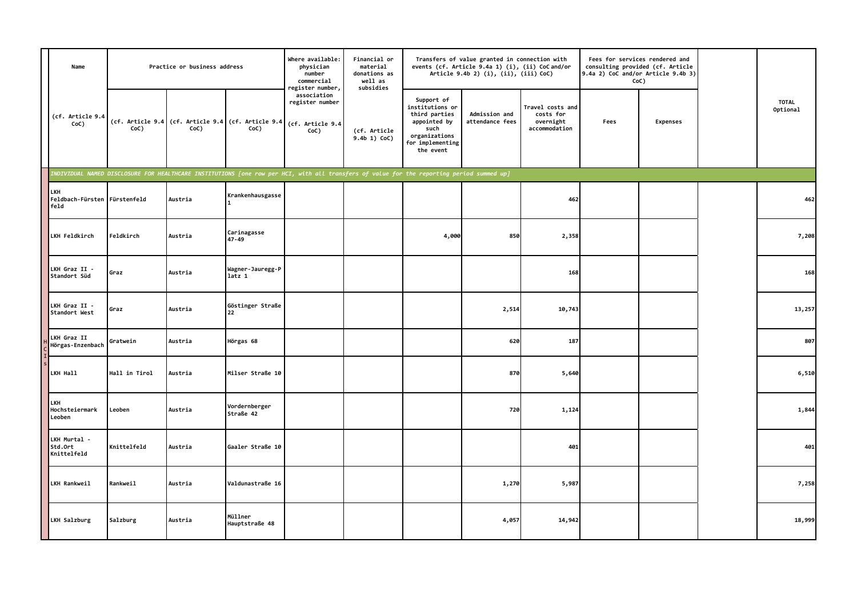| Name                                        |               | Practice or business address |                                                            | Where available:<br>physician<br>number<br>commercial<br>register number,                                                                 | Financial or<br>material<br>donations as<br>well as<br>subsidies |                                                                                                                          | Transfers of value granted in connection with<br>events (cf. Article 9.4a 1) (i), (ii) CoC and/or<br>Article 9.4b 2) (i), (ii), (iii) CoC) |                                                             | 9.4a 2) CoC and/or Article 9.4b 3) | Fees for services rendered and<br>consulting provided (cf. Article<br>CoC) |                          |
|---------------------------------------------|---------------|------------------------------|------------------------------------------------------------|-------------------------------------------------------------------------------------------------------------------------------------------|------------------------------------------------------------------|--------------------------------------------------------------------------------------------------------------------------|--------------------------------------------------------------------------------------------------------------------------------------------|-------------------------------------------------------------|------------------------------------|----------------------------------------------------------------------------|--------------------------|
| (cf. Article 9.4<br>CoC)                    | CoC)          | CoC)                         | (cf. Article 9.4 (cf. Article 9.4 (cf. Article 9.4<br>CoC) | association<br>register number<br>(cf. Article 9.4<br>CoC)                                                                                | (cf. Article<br>9.4b 1) CoC)                                     | Support of<br>institutions or<br>third parties<br>appointed by<br>such<br>organizations<br>for implementing<br>the event | Admission and<br>attendance fees                                                                                                           | Travel costs and<br>costs for<br>overnight<br>accommodation | Fees                               | <b>Expenses</b>                                                            | <b>TOTAL</b><br>Optional |
|                                             |               |                              |                                                            | INDIVIDUAL NAMED DISCLOSURE FOR HEALTHCARE INSTITUTIONS [one row per HCI, with all transfers of value for the reporting period summed up] |                                                                  |                                                                                                                          |                                                                                                                                            |                                                             |                                    |                                                                            |                          |
| LKH<br>Feldbach-Fürsten Fürstenfeld<br>feld |               | Austria                      | Krankenhausgasse                                           |                                                                                                                                           |                                                                  |                                                                                                                          |                                                                                                                                            | 462                                                         |                                    |                                                                            | 462                      |
| LKH Feldkirch                               | Feldkirch     | Austria                      | Carinagasse<br>47-49                                       |                                                                                                                                           |                                                                  | 4,000                                                                                                                    | 850                                                                                                                                        | 2,358                                                       |                                    |                                                                            | 7,208                    |
| LKH Graz II -<br>Standort Süd               | Graz          | Austria                      | Wagner-Jauregg-P<br>latz 1                                 |                                                                                                                                           |                                                                  |                                                                                                                          |                                                                                                                                            | 168                                                         |                                    |                                                                            | 168                      |
| LKH Graz II -<br>Standort West              | Graz          | Austria                      | Göstinger Straße<br>22                                     |                                                                                                                                           |                                                                  |                                                                                                                          | 2,514                                                                                                                                      | 10,743                                                      |                                    |                                                                            | 13,257                   |
| LKH Graz II<br>Hörgas-Enzenbach             | Gratwein      | Austria                      | Hörgas 68                                                  |                                                                                                                                           |                                                                  |                                                                                                                          | 620                                                                                                                                        | 187                                                         |                                    |                                                                            | 807                      |
| LKH Hall                                    | Hall in Tirol | Austria                      | Milser Straße 10                                           |                                                                                                                                           |                                                                  |                                                                                                                          | 870                                                                                                                                        | 5,640                                                       |                                    |                                                                            | 6,510                    |
| LKH<br>Hochsteiermark<br>Leoben             | Leoben        | Austria                      | Vordernberger<br>Straße 42                                 |                                                                                                                                           |                                                                  |                                                                                                                          | 720                                                                                                                                        | 1,124                                                       |                                    |                                                                            | 1,844                    |
| LKH Murtal -<br>Std.Ort<br>Knittelfeld      | Knittelfeld   | Austria                      | Gaaler Straße 10                                           |                                                                                                                                           |                                                                  |                                                                                                                          |                                                                                                                                            | 401                                                         |                                    |                                                                            | 401                      |
| LKH Rankweil                                | Rankweil      | Austria                      | Valdunastraße 16                                           |                                                                                                                                           |                                                                  |                                                                                                                          | 1,270                                                                                                                                      | 5,987                                                       |                                    |                                                                            | 7,258                    |
| LKH Salzburg                                | Salzburg      | Austria                      | Müllner<br>Hauptstraße 48                                  |                                                                                                                                           |                                                                  |                                                                                                                          | 4,057                                                                                                                                      | 14,942                                                      |                                    |                                                                            | 18,999                   |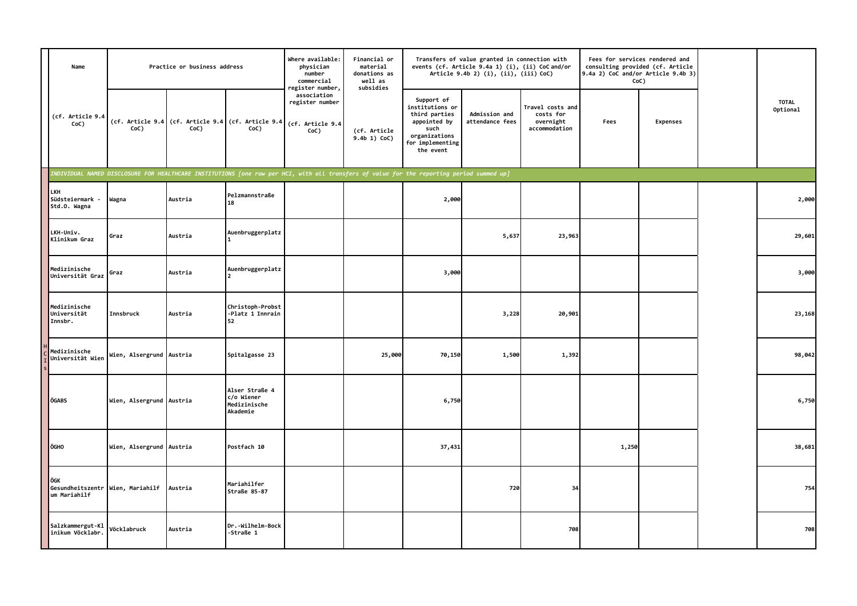| Name                                                    |                          | Practice or business address |                                                                                                                                           | Where available:<br>physician<br>number<br>commercial<br>register number, | Financial or<br>material<br>donations as<br>well as<br>subsidies |                                                                                                                          | Transfers of value granted in connection with<br>events (cf. Article 9.4a 1) (i), (ii) CoC and/or<br>Article 9.4b 2) (i), (ii), (iii) CoC) |                                                             |       | Fees for services rendered and<br>consulting provided (cf. Article<br>9.4a 2) CoC and/or Article 9.4b 3)<br>CoC) |                          |
|---------------------------------------------------------|--------------------------|------------------------------|-------------------------------------------------------------------------------------------------------------------------------------------|---------------------------------------------------------------------------|------------------------------------------------------------------|--------------------------------------------------------------------------------------------------------------------------|--------------------------------------------------------------------------------------------------------------------------------------------|-------------------------------------------------------------|-------|------------------------------------------------------------------------------------------------------------------|--------------------------|
| (cf. Article 9.4<br>CoC)                                | CoC)                     | CoC)                         | (cf. Article 9.4 (cf. Article 9.4 (cf. Article 9.4<br>CoC)                                                                                | association<br>register number<br>(cf. Article 9.4<br>CoC)                | (cf. Article<br>9.4b 1) CoC)                                     | Support of<br>institutions or<br>third parties<br>appointed by<br>such<br>organizations<br>for implementing<br>the event | Admission and<br>attendance fees                                                                                                           | Travel costs and<br>costs for<br>overnight<br>accommodation | Fees  | <b>Expenses</b>                                                                                                  | <b>TOTAL</b><br>Optional |
|                                                         |                          |                              | INDIVIDUAL NAMED DISCLOSURE FOR HEALTHCARE INSTITUTIONS [one row per HCI, with all transfers of value for the reporting period summed up] |                                                                           |                                                                  |                                                                                                                          |                                                                                                                                            |                                                             |       |                                                                                                                  |                          |
| LKH<br>Südsteiermark -<br>Std.O. Wagna                  | Wagna                    | Austria                      | Pelzmannstraße<br>18                                                                                                                      |                                                                           |                                                                  | 2,000                                                                                                                    |                                                                                                                                            |                                                             |       |                                                                                                                  | 2,000                    |
| LKH-Univ.<br>Klinikum Graz                              | Graz                     | Austria                      | Auenbruggerplatz                                                                                                                          |                                                                           |                                                                  |                                                                                                                          | 5,637                                                                                                                                      | 23,963                                                      |       |                                                                                                                  | 29,601                   |
| Medizinische<br>Universität Graz                        | Graz                     | Austria                      | Auenbruggerplatz<br>$\mathcal{P}$                                                                                                         |                                                                           |                                                                  | 3,000                                                                                                                    |                                                                                                                                            |                                                             |       |                                                                                                                  | 3,000                    |
| Medizinische<br>Universität<br>Innsbr.                  | Innsbruck                | Austria                      | Christoph-Probst<br>-Platz 1 Innrain<br>52                                                                                                |                                                                           |                                                                  |                                                                                                                          | 3,228                                                                                                                                      | 20,901                                                      |       |                                                                                                                  | 23,168                   |
| Medizinische<br>Universität Wien                        | Wien, Alsergrund Austria |                              | Spitalgasse 23                                                                                                                            |                                                                           | 25,000                                                           | 70,150                                                                                                                   | 1,500                                                                                                                                      | 1,392                                                       |       |                                                                                                                  | 98,042                   |
| ÖGABS                                                   | Wien, Alsergrund Austria |                              | Alser Straße 4<br>c/o Wiener<br>Medizinische<br>Akademie                                                                                  |                                                                           |                                                                  | 6,750                                                                                                                    |                                                                                                                                            |                                                             |       |                                                                                                                  | 6,750                    |
| ÖGHO                                                    | Wien, Alsergrund Austria |                              | Postfach 10                                                                                                                               |                                                                           |                                                                  | 37,431                                                                                                                   |                                                                                                                                            |                                                             | 1,250 |                                                                                                                  | 38,681                   |
| ÖGK<br>Gesundheitszentr Wien, Mariahilf<br>um Mariahilf |                          | Austria                      | Mariahilfer<br>Straße 85-87                                                                                                               |                                                                           |                                                                  |                                                                                                                          | 720                                                                                                                                        | 34                                                          |       |                                                                                                                  | 754                      |
| Salzkammergut-Kl<br>inikum Vöcklabr.                    | Vöcklabruck              | Austria                      | Dr.-Wilhelm-Bock<br>-Straße 1                                                                                                             |                                                                           |                                                                  |                                                                                                                          |                                                                                                                                            | 708                                                         |       |                                                                                                                  | 708                      |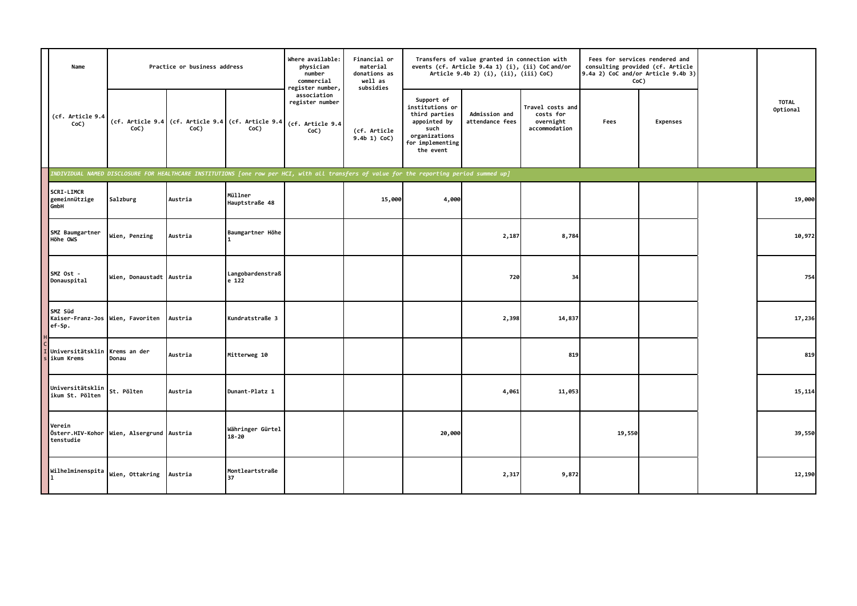| Name                                                  |                          | Practice or business address |                               | Where available:<br>physician<br>number<br>commercial<br>register number,                                                                 | Financial or<br>material<br>donations as<br>well as<br>subsidies |                                                                                                                          | Transfers of value granted in connection with<br>events (cf. Article 9.4a 1) (i), (ii) CoC and/or<br>Article 9.4b 2) (i), (ii), (iii) CoC) |                                                             | $9.4a$ 2) CoC and/or Article $9.4b$ 3) | Fees for services rendered and<br>consulting provided (cf. Article<br>CoC) |                          |
|-------------------------------------------------------|--------------------------|------------------------------|-------------------------------|-------------------------------------------------------------------------------------------------------------------------------------------|------------------------------------------------------------------|--------------------------------------------------------------------------------------------------------------------------|--------------------------------------------------------------------------------------------------------------------------------------------|-------------------------------------------------------------|----------------------------------------|----------------------------------------------------------------------------|--------------------------|
| (cf. Article 9.4<br>CoC)                              | CoC)                     | CoC)                         | CoC)                          | association<br>register number<br>(cf. Article 9.4 (cf. Article 9.4 (cf. Article 9.4 (cf. Article 9.4<br>CoC)                             | (cf. Article<br>$9.4b$ 1) CoC)                                   | Support of<br>institutions or<br>third parties<br>appointed by<br>such<br>organizations<br>for implementing<br>the event | Admission and<br>attendance fees                                                                                                           | Travel costs and<br>costs for<br>overnight<br>accommodation | Fees                                   | <b>Expenses</b>                                                            | <b>TOTAL</b><br>Optional |
|                                                       |                          |                              |                               | INDIVIDUAL NAMED DISCLOSURE FOR HEALTHCARE INSTITUTIONS [one row per HCI, with all transfers of value for the reporting period summed up] |                                                                  |                                                                                                                          |                                                                                                                                            |                                                             |                                        |                                                                            |                          |
| SCRI-LIMCR<br>gemeinnützige<br>GmbH                   | Salzburg                 | Austria                      | Müllner<br>Hauptstraße 48     |                                                                                                                                           | 15,000                                                           | 4,000                                                                                                                    |                                                                                                                                            |                                                             |                                        |                                                                            | 19,000                   |
| SMZ Baumgartner<br>Höhe OWS                           | Wien, Penzing            | Austria                      | Baumgartner Höhe              |                                                                                                                                           |                                                                  |                                                                                                                          | 2,187                                                                                                                                      | 8,784                                                       |                                        |                                                                            | 10,972                   |
| SMZ Ost -<br>Donauspital                              | Wien, Donaustadt Austria |                              | Langobardenstraß<br>e 122     |                                                                                                                                           |                                                                  |                                                                                                                          | 720                                                                                                                                        | 34                                                          |                                        |                                                                            | 754                      |
| SMZ Süd<br>Kaiser-Franz-Jos Wien, Favoriten<br>ef-Sp. |                          | Austria                      | Kundratstraße 3               |                                                                                                                                           |                                                                  |                                                                                                                          | 2,398                                                                                                                                      | 14,837                                                      |                                        |                                                                            | 17,236                   |
| Universitätsklin<br>ikum Krems                        | Krems an der<br>Donau    | Austria                      | Mitterweg 10                  |                                                                                                                                           |                                                                  |                                                                                                                          |                                                                                                                                            | 819                                                         |                                        |                                                                            | 819                      |
| Universitätsklin<br>ikum St. Pölten                   | St. Pölten               | Austria                      | Dunant-Platz 1                |                                                                                                                                           |                                                                  |                                                                                                                          | 4,061                                                                                                                                      | 11,053                                                      |                                        |                                                                            | 15,114                   |
| Verein<br>Österr.HIV-Kohor<br>tenstudie               | Wien, Alsergrund Austria |                              | Währinger Gürtel<br>$18 - 20$ |                                                                                                                                           |                                                                  | 20,000                                                                                                                   |                                                                                                                                            |                                                             | 19,550                                 |                                                                            | 39,550                   |
| Wilhelminenspita<br>l 1                               | Wien, Ottakring Austria  |                              | Montleartstraße<br>37         |                                                                                                                                           |                                                                  |                                                                                                                          | 2,317                                                                                                                                      | 9,872                                                       |                                        |                                                                            | 12,190                   |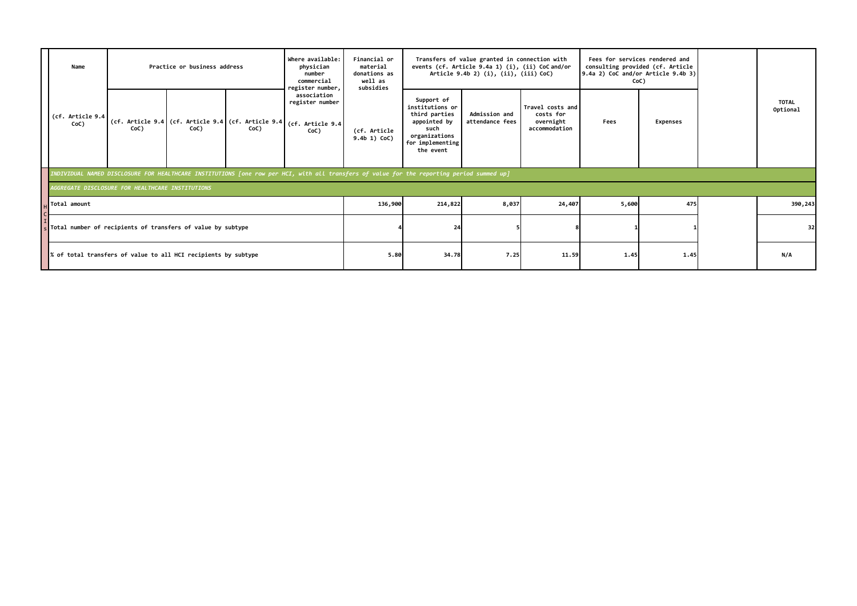| Name                                                                      |      | Where available:<br>Practice or business address |                                                                                                                                           |                                                            | Financial or<br>material<br>donations as<br>well as<br>subsidies |                                                                                                                          | Transfers of value granted in connection with<br>events (cf. Article 9.4a 1) (i), (ii) CoC and/or<br>Article 9.4b 2) (i), (ii), (iii) CoC) |                                                             |       | Fees for services rendered and<br>consulting provided (cf. Article<br>$9.4a$ 2) CoC and/or Article $9.4b$ 3)<br>CoC) |                          |
|---------------------------------------------------------------------------|------|--------------------------------------------------|-------------------------------------------------------------------------------------------------------------------------------------------|------------------------------------------------------------|------------------------------------------------------------------|--------------------------------------------------------------------------------------------------------------------------|--------------------------------------------------------------------------------------------------------------------------------------------|-------------------------------------------------------------|-------|----------------------------------------------------------------------------------------------------------------------|--------------------------|
| (cf. Article 9.4<br>CoC)                                                  | CoC) | CoC)                                             | (cf. Article 9.4 (cf. Article 9.4 (cf. Article 9.4 (cf. Article 9.4<br>CoC)                                                               | register number,<br>association<br>register number<br>CoC) | (cf. Article<br>$9.4b$ 1) CoC)                                   | Support of<br>institutions or<br>third parties<br>appointed by<br>such<br>organizations<br>for implementing<br>the event | Admission and<br>attendance fees                                                                                                           | Travel costs and<br>costs for<br>overnight<br>accommodation | Fees  | <b>Expenses</b>                                                                                                      | <b>TOTAL</b><br>Optional |
|                                                                           |      |                                                  | INDIVIDUAL NAMED DISCLOSURE FOR HEALTHCARE INSTITUTIONS [one row per HCI, with all transfers of value for the reporting period summed up] |                                                            |                                                                  |                                                                                                                          |                                                                                                                                            |                                                             |       |                                                                                                                      |                          |
| AGGREGATE DISCLOSURE FOR HEALTHCARE INSTITUTIONS                          |      |                                                  |                                                                                                                                           |                                                            |                                                                  |                                                                                                                          |                                                                                                                                            |                                                             |       |                                                                                                                      |                          |
| Total amount                                                              |      |                                                  |                                                                                                                                           |                                                            | 136,900                                                          | 214,822                                                                                                                  | 8,037                                                                                                                                      | 24,407                                                      | 5,600 | 475                                                                                                                  | 390,243                  |
| $\frac{1}{5}$ Total number of recipients of transfers of value by subtype |      |                                                  |                                                                                                                                           |                                                            |                                                                  | 24                                                                                                                       |                                                                                                                                            |                                                             |       |                                                                                                                      | 32                       |
| % of total transfers of value to all HCI recipients by subtype            |      |                                                  |                                                                                                                                           |                                                            | 5.80                                                             | 34.78                                                                                                                    | 7.25                                                                                                                                       | 11.59                                                       | 1.45  | 1.45                                                                                                                 | N/A                      |